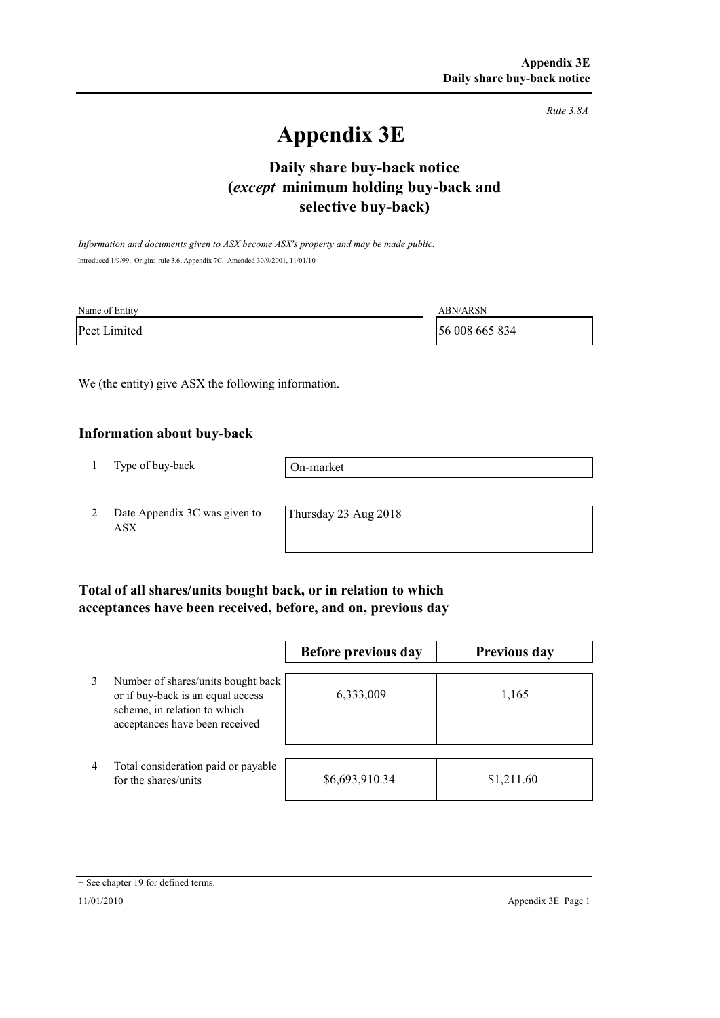*Rule 3.8A*

# **Appendix 3E**

# **selective buy-back) Daily share buy-back notice (***except* **minimum holding buy-back and**

*Information and documents given to ASX become ASX's property and may be made public.* Introduced 1/9/99. Origin: rule 3.6, Appendix 7C. Amended 30/9/2001, 11/01/10

| Name of Entity | <b>ABN/ARSN</b> |
|----------------|-----------------|
| Peet Limited   | 56 008 665 834  |

We (the entity) give ASX the following information.

#### **Information about buy-back**

1 Type of buy-back

On-market

2 Date Appendix 3C was given to ASX

Thursday 23 Aug 2018

### **Total of all shares/units bought back, or in relation to which acceptances have been received, before, and on, previous day**

|                |                                                                                                                                           | Before previous day | <b>Previous day</b> |
|----------------|-------------------------------------------------------------------------------------------------------------------------------------------|---------------------|---------------------|
| 3              | Number of shares/units bought back<br>or if buy-back is an equal access<br>scheme, in relation to which<br>acceptances have been received | 6,333,009           | 1,165               |
| $\overline{4}$ | Total consideration paid or payable<br>for the shares/units                                                                               | \$6,693,910.34      | \$1,211.60          |

<sup>+</sup> See chapter 19 for defined terms.